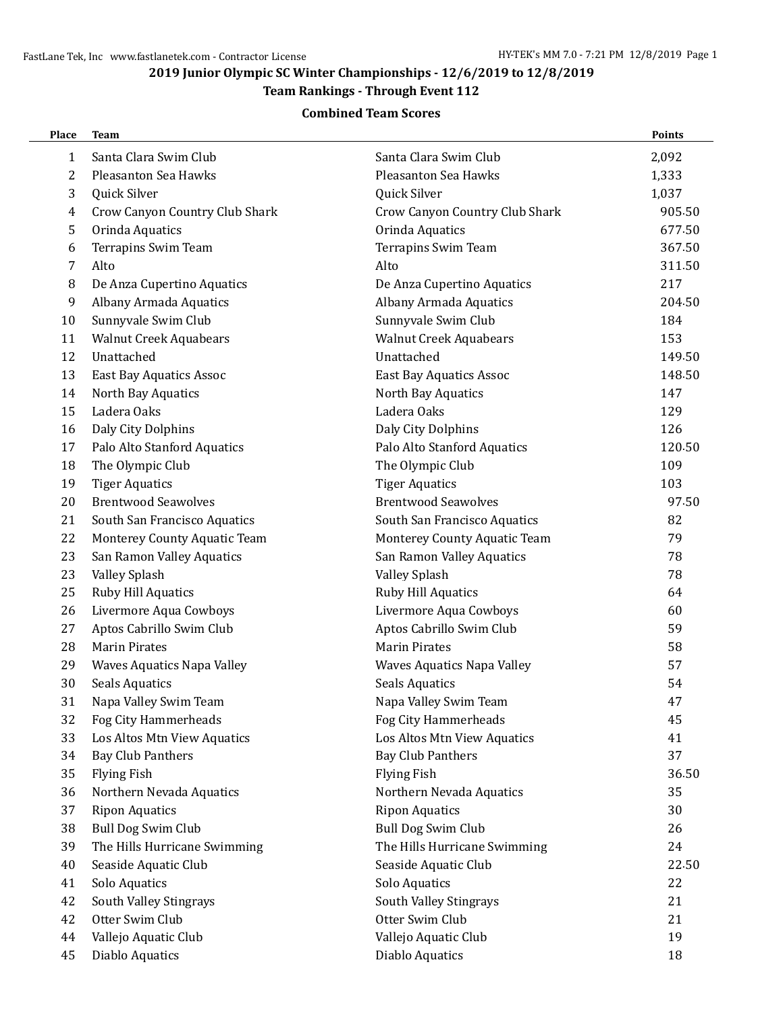#### **2019 Junior Olympic SC Winter Championships - 12/6/2019 to 12/8/2019**

## **Team Rankings - Through Event 112**

#### **Combined Team Scores**

| Place        | <b>Team</b>                    |                                | Points |
|--------------|--------------------------------|--------------------------------|--------|
| $\mathbf{1}$ | Santa Clara Swim Club          | Santa Clara Swim Club          | 2,092  |
| 2            | Pleasanton Sea Hawks           | Pleasanton Sea Hawks           | 1,333  |
| 3            | Quick Silver                   | Quick Silver                   | 1,037  |
| 4            | Crow Canyon Country Club Shark | Crow Canyon Country Club Shark | 905.50 |
| 5            | Orinda Aquatics                | Orinda Aquatics                | 677.50 |
| 6            | Terrapins Swim Team            | Terrapins Swim Team            | 367.50 |
| 7            | Alto                           | Alto                           | 311.50 |
| 8            | De Anza Cupertino Aquatics     | De Anza Cupertino Aquatics     | 217    |
| 9            | Albany Armada Aquatics         | Albany Armada Aquatics         | 204.50 |
| 10           | Sunnyvale Swim Club            | Sunnyvale Swim Club            | 184    |
| 11           | <b>Walnut Creek Aquabears</b>  | <b>Walnut Creek Aquabears</b>  | 153    |
| 12           | Unattached                     | Unattached                     | 149.50 |
| 13           | <b>East Bay Aquatics Assoc</b> | <b>East Bay Aquatics Assoc</b> | 148.50 |
| 14           | North Bay Aquatics             | North Bay Aquatics             | 147    |
| 15           | Ladera Oaks                    | Ladera Oaks                    | 129    |
| 16           | Daly City Dolphins             | Daly City Dolphins             | 126    |
| 17           | Palo Alto Stanford Aquatics    | Palo Alto Stanford Aquatics    | 120.50 |
| 18           | The Olympic Club               | The Olympic Club               | 109    |
| 19           | <b>Tiger Aquatics</b>          | <b>Tiger Aquatics</b>          | 103    |
| 20           | <b>Brentwood Seawolves</b>     | <b>Brentwood Seawolves</b>     | 97.50  |
| 21           | South San Francisco Aquatics   | South San Francisco Aquatics   | 82     |
| 22           | Monterey County Aquatic Team   | Monterey County Aquatic Team   | 79     |
| 23           | San Ramon Valley Aquatics      | San Ramon Valley Aquatics      | 78     |
| 23           | Valley Splash                  | Valley Splash                  | 78     |
| 25           | Ruby Hill Aquatics             | Ruby Hill Aquatics             | 64     |
| 26           | Livermore Aqua Cowboys         | Livermore Aqua Cowboys         | 60     |
| 27           | Aptos Cabrillo Swim Club       | Aptos Cabrillo Swim Club       | 59     |
| 28           | <b>Marin Pirates</b>           | <b>Marin Pirates</b>           | 58     |
| 29           | Waves Aquatics Napa Valley     | Waves Aquatics Napa Valley     | 57     |
| 30           | <b>Seals Aquatics</b>          | <b>Seals Aquatics</b>          | 54     |
| 31           | Napa Valley Swim Team          | Napa Valley Swim Team          | 47     |
| 32           | Fog City Hammerheads           | Fog City Hammerheads           | 45     |
| 33           | Los Altos Mtn View Aquatics    | Los Altos Mtn View Aquatics    | 41     |
| 34           | <b>Bay Club Panthers</b>       | <b>Bay Club Panthers</b>       | 37     |
| 35           | <b>Flying Fish</b>             | <b>Flying Fish</b>             | 36.50  |
| 36           | Northern Nevada Aquatics       | Northern Nevada Aquatics       | 35     |
| 37           | <b>Ripon Aquatics</b>          | <b>Ripon Aquatics</b>          | 30     |
| 38           | <b>Bull Dog Swim Club</b>      | <b>Bull Dog Swim Club</b>      | 26     |
| 39           | The Hills Hurricane Swimming   | The Hills Hurricane Swimming   | 24     |
| 40           | Seaside Aquatic Club           | Seaside Aquatic Club           | 22.50  |
| 41           | Solo Aquatics                  | Solo Aquatics                  | 22     |
| 42           | South Valley Stingrays         | South Valley Stingrays         | 21     |
| 42           | Otter Swim Club                | Otter Swim Club                | 21     |
| 44           | Vallejo Aquatic Club           | Vallejo Aquatic Club           | 19     |
| 45           | Diablo Aquatics                | Diablo Aquatics                | 18     |